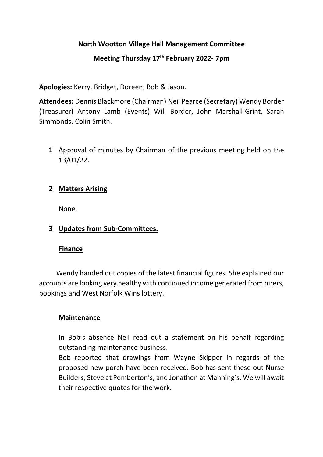### **North Wootton Village Hall Management Committee**

## **Meeting Thursday 17th February 2022- 7pm**

**Apologies:** Kerry, Bridget, Doreen, Bob & Jason.

**Attendees:** Dennis Blackmore (Chairman) Neil Pearce (Secretary) Wendy Border (Treasurer) Antony Lamb (Events) Will Border, John Marshall-Grint, Sarah Simmonds, Colin Smith.

**1** Approval of minutes by Chairman of the previous meeting held on the 13/01/22.

### **2 Matters Arising**

None.

#### **3 Updates from Sub-Committees.**

#### **Finance**

 Wendy handed out copies of the latest financial figures. She explained our accounts are looking very healthy with continued income generated from hirers, bookings and West Norfolk Wins lottery.

#### **Maintenance**

In Bob's absence Neil read out a statement on his behalf regarding outstanding maintenance business.

Bob reported that drawings from Wayne Skipper in regards of the proposed new porch have been received. Bob has sent these out Nurse Builders, Steve at Pemberton's, and Jonathon at Manning's. We will await their respective quotes for the work.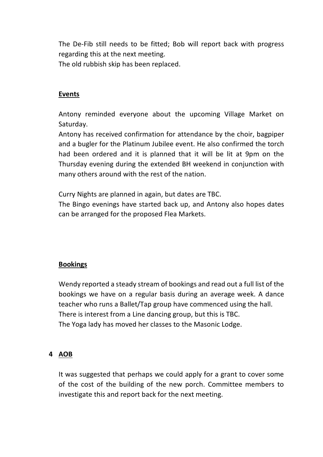The De-Fib still needs to be fitted; Bob will report back with progress regarding this at the next meeting.

The old rubbish skip has been replaced.

# **Events**

Antony reminded everyone about the upcoming Village Market on Saturday.

Antony has received confirmation for attendance by the choir, bagpiper and a bugler for the Platinum Jubilee event. He also confirmed the torch had been ordered and it is planned that it will be lit at 9pm on the Thursday evening during the extended BH weekend in conjunction with many others around with the rest of the nation.

Curry Nights are planned in again, but dates are TBC.

The Bingo evenings have started back up, and Antony also hopes dates can be arranged for the proposed Flea Markets.

## **Bookings**

Wendy reported a steady stream of bookings and read out a full list of the bookings we have on a regular basis during an average week. A dance teacher who runs a Ballet/Tap group have commenced using the hall. There is interest from a Line dancing group, but this is TBC. The Yoga lady has moved her classes to the Masonic Lodge.

#### **4 AOB**

It was suggested that perhaps we could apply for a grant to cover some of the cost of the building of the new porch. Committee members to investigate this and report back for the next meeting.